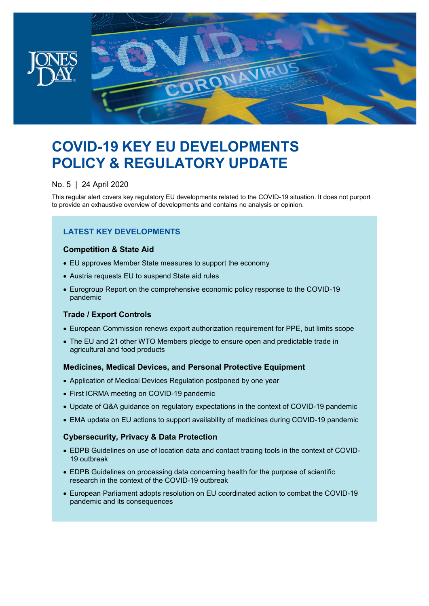

# **COVID-19 KEY EU DEVELOPMENTS POLICY & REGULATORY UPDATE**

### No. 5 | 24 April 2020

This regular alert covers key regulatory EU developments related to the COVID-19 situation. It does not purport to provide an exhaustive overview of developments and contains no analysis or opinion.

### **LATEST KEY DEVELOPMENTS**

### **Competition & State Aid**

- EU approves Member State measures to support the economy
- Austria requests EU to suspend State aid rules
- Eurogroup Report on the comprehensive economic policy response to the COVID-19 pandemic

### **Trade / Export Controls**

- European Commission renews export authorization requirement for PPE, but limits scope
- The EU and 21 other WTO Members pledge to ensure open and predictable trade in agricultural and food products

### **Medicines, Medical Devices, and Personal Protective Equipment**

- Application of Medical Devices Regulation postponed by one year
- First ICRMA meeting on COVID-19 pandemic
- Update of Q&A guidance on regulatory expectations in the context of COVID-19 pandemic
- EMA update on EU actions to support availability of medicines during COVID-19 pandemic

### **Cybersecurity, Privacy & Data Protection**

- EDPB Guidelines on use of location data and contact tracing tools in the context of COVID-19 outbreak
- EDPB Guidelines on processing data concerning health for the purpose of scientific research in the context of the COVID-19 outbreak
- European Parliament adopts resolution on EU coordinated action to combat the COVID-19 pandemic and its consequences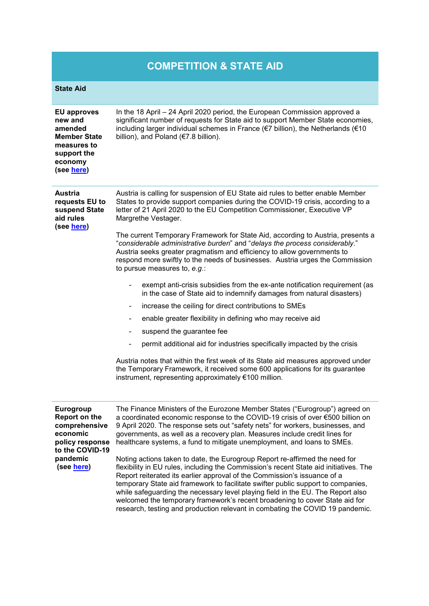## **COMPETITION & STATE AID**

| <b>State Aid</b>                                                                                                               |                                                                                                                                                                                                                                                                                                                                                                                                                                                                                                                                                                                                                                                                                                                                                                                                                                                                                                                                                                                                                                                                                                                                                                                                                                                                                                              |
|--------------------------------------------------------------------------------------------------------------------------------|--------------------------------------------------------------------------------------------------------------------------------------------------------------------------------------------------------------------------------------------------------------------------------------------------------------------------------------------------------------------------------------------------------------------------------------------------------------------------------------------------------------------------------------------------------------------------------------------------------------------------------------------------------------------------------------------------------------------------------------------------------------------------------------------------------------------------------------------------------------------------------------------------------------------------------------------------------------------------------------------------------------------------------------------------------------------------------------------------------------------------------------------------------------------------------------------------------------------------------------------------------------------------------------------------------------|
| <b>EU approves</b><br>new and<br>amended<br><b>Member State</b><br>measures to<br>support the<br>economy<br>(see here)         | In the 18 April - 24 April 2020 period, the European Commission approved a<br>significant number of requests for State aid to support Member State economies,<br>including larger individual schemes in France (€7 billion), the Netherlands (€10<br>billion), and Poland (€7.8 billion).                                                                                                                                                                                                                                                                                                                                                                                                                                                                                                                                                                                                                                                                                                                                                                                                                                                                                                                                                                                                                    |
| Austria<br>requests EU to<br>suspend State<br>aid rules<br>(see here)                                                          | Austria is calling for suspension of EU State aid rules to better enable Member<br>States to provide support companies during the COVID-19 crisis, according to a<br>letter of 21 April 2020 to the EU Competition Commissioner, Executive VP<br>Margrethe Vestager.<br>The current Temporary Framework for State Aid, according to Austria, presents a<br>"considerable administrative burden" and "delays the process considerably."<br>Austria seeks greater pragmatism and efficiency to allow governments to<br>respond more swiftly to the needs of businesses. Austria urges the Commission<br>to pursue measures to, e.g.:<br>exempt anti-crisis subsidies from the ex-ante notification requirement (as<br>in the case of State aid to indemnify damages from natural disasters)<br>increase the ceiling for direct contributions to SMEs<br>$\blacksquare$<br>enable greater flexibility in defining who may receive aid<br>suspend the guarantee fee<br>$\blacksquare$<br>permit additional aid for industries specifically impacted by the crisis<br>$\blacksquare$<br>Austria notes that within the first week of its State aid measures approved under<br>the Temporary Framework, it received some 600 applications for its guarantee<br>instrument, representing approximately €100 million. |
| Eurogroup<br><b>Report on the</b><br>comprehensive<br>economic<br>policy response<br>to the COVID-19<br>pandemic<br>(see here) | The Finance Ministers of the Eurozone Member States ("Eurogroup") agreed on<br>a coordinated economic response to the COVID-19 crisis of over €500 billion on<br>9 April 2020. The response sets out "safety nets" for workers, businesses, and<br>governments, as well as a recovery plan. Measures include credit lines for<br>healthcare systems, a fund to mitigate unemployment, and loans to SMEs.<br>Noting actions taken to date, the Eurogroup Report re-affirmed the need for<br>flexibility in EU rules, including the Commission's recent State aid initiatives. The<br>Report reiterated its earlier approval of the Commission's issuance of a<br>temporary State aid framework to facilitate swifter public support to companies,<br>while safeguarding the necessary level playing field in the EU. The Report also<br>welcomed the temporary framework's recent broadening to cover State aid for                                                                                                                                                                                                                                                                                                                                                                                           |

research, testing and production relevant in combating the COVID 19 pandemic.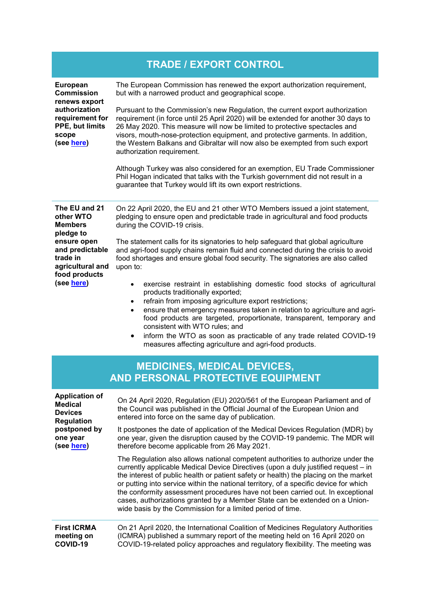|                                                                                                                                              | <b>TRADE / EXPORT CONTROL</b>                                                                                                                                                                                                                                                                                                                                                                                                                                                                                                                                                          |
|----------------------------------------------------------------------------------------------------------------------------------------------|----------------------------------------------------------------------------------------------------------------------------------------------------------------------------------------------------------------------------------------------------------------------------------------------------------------------------------------------------------------------------------------------------------------------------------------------------------------------------------------------------------------------------------------------------------------------------------------|
| <b>European</b><br><b>Commission</b><br>renews export<br>authorization<br>requirement for<br>PPE, but limits<br>scope<br>(see here)          | The European Commission has renewed the export authorization requirement,<br>but with a narrowed product and geographical scope.                                                                                                                                                                                                                                                                                                                                                                                                                                                       |
|                                                                                                                                              | Pursuant to the Commission's new Regulation, the current export authorization<br>requirement (in force until 25 April 2020) will be extended for another 30 days to<br>26 May 2020. This measure will now be limited to protective spectacles and<br>visors, mouth-nose-protection equipment, and protective garments. In addition,<br>the Western Balkans and Gibraltar will now also be exempted from such export<br>authorization requirement.                                                                                                                                      |
|                                                                                                                                              | Although Turkey was also considered for an exemption, EU Trade Commissioner<br>Phil Hogan indicated that talks with the Turkish government did not result in a<br>guarantee that Turkey would lift its own export restrictions.                                                                                                                                                                                                                                                                                                                                                        |
| The EU and 21<br>other WTO<br><b>Members</b><br>pledge to<br>ensure open<br>and predictable<br>trade in<br>agricultural and<br>food products | On 22 April 2020, the EU and 21 other WTO Members issued a joint statement,<br>pledging to ensure open and predictable trade in agricultural and food products<br>during the COVID-19 crisis.                                                                                                                                                                                                                                                                                                                                                                                          |
|                                                                                                                                              | The statement calls for its signatories to help safeguard that global agriculture<br>and agri-food supply chains remain fluid and connected during the crisis to avoid<br>food shortages and ensure global food security. The signatories are also called<br>upon to:                                                                                                                                                                                                                                                                                                                  |
| (see here)                                                                                                                                   | exercise restraint in establishing domestic food stocks of agricultural<br>$\bullet$<br>products traditionally exported;<br>refrain from imposing agriculture export restrictions;<br>$\bullet$<br>ensure that emergency measures taken in relation to agriculture and agri-<br>$\bullet$<br>food products are targeted, proportionate, transparent, temporary and<br>consistent with WTO rules; and<br>inform the WTO as soon as practicable of any trade related COVID-19<br>$\bullet$<br>measures affecting agriculture and agri-food products.                                     |
|                                                                                                                                              | <b>MEDICINES, MEDICAL DEVICES,</b><br>AND PERSONAL PROTECTIVE EQUIPMENT                                                                                                                                                                                                                                                                                                                                                                                                                                                                                                                |
| <b>Application of</b><br><b>Medical</b><br><b>Devices</b><br><b>Regulation</b><br>postponed by<br>one year<br>(see here)                     | On 24 April 2020, Regulation (EU) 2020/561 of the European Parliament and of<br>the Council was published in the Official Journal of the European Union and<br>entered into force on the same day of publication.                                                                                                                                                                                                                                                                                                                                                                      |
|                                                                                                                                              | It postpones the date of application of the Medical Devices Regulation (MDR) by<br>one year, given the disruption caused by the COVID-19 pandemic. The MDR will<br>therefore become applicable from 26 May 2021.                                                                                                                                                                                                                                                                                                                                                                       |
|                                                                                                                                              | The Regulation also allows national competent authorities to authorize under the<br>currently applicable Medical Device Directives (upon a duly justified request - in<br>the interest of public health or patient safety or health) the placing on the market<br>or putting into service within the national territory, of a specific device for which<br>the conformity assessment procedures have not been carried out. In exceptional<br>cases, authorizations granted by a Member State can be extended on a Union-<br>wide basis by the Commission for a limited period of time. |
| <b>First ICRMA</b><br>meeting on<br>COVID-19                                                                                                 | On 21 April 2020, the International Coalition of Medicines Regulatory Authorities<br>(ICMRA) published a summary report of the meeting held on 16 April 2020 on<br>COVID-19-related policy approaches and regulatory flexibility. The meeting was                                                                                                                                                                                                                                                                                                                                      |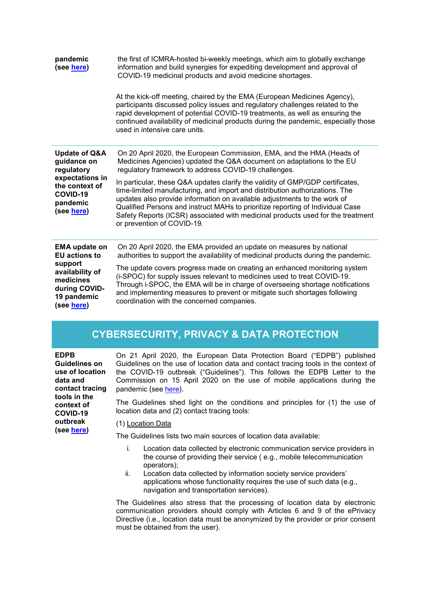| pandemic<br>(see here)                                                                                                                | the first of ICMRA-hosted bi-weekly meetings, which aim to globally exchange<br>information and build synergies for expediting development and approval of<br>COVID-19 medicinal products and avoid medicine shortages.<br>At the kick-off meeting, chaired by the EMA (European Medicines Agency),<br>participants discussed policy issues and regulatory challenges related to the<br>rapid development of potential COVID-19 treatments, as well as ensuring the<br>continued availability of medicinal products during the pandemic, especially those<br>used in intensive care units. |
|---------------------------------------------------------------------------------------------------------------------------------------|--------------------------------------------------------------------------------------------------------------------------------------------------------------------------------------------------------------------------------------------------------------------------------------------------------------------------------------------------------------------------------------------------------------------------------------------------------------------------------------------------------------------------------------------------------------------------------------------|
| <b>Update of Q&amp;A</b><br>guidance on<br>regulatory<br>expectations in<br>the context of<br>COVID-19<br>pandemic<br>(see here)      | On 20 April 2020, the European Commission, EMA, and the HMA (Heads of<br>Medicines Agencies) updated the Q&A document on adaptations to the EU<br>regulatory framework to address COVID-19 challenges.                                                                                                                                                                                                                                                                                                                                                                                     |
|                                                                                                                                       | In particular, these Q&A updates clarify the validity of GMP/GDP certificates,<br>time-limited manufacturing, and import and distribution authorizations. The<br>updates also provide information on available adjustments to the work of<br>Qualified Persons and instruct MAHs to prioritize reporting of Individual Case<br>Safety Reports (ICSR) associated with medicinal products used for the treatment<br>or prevention of COVID-19.                                                                                                                                               |
| <b>EMA update on</b><br><b>EU</b> actions to<br>support<br>availability of<br>medicines<br>during COVID-<br>19 pandemic<br>(see here) | On 20 April 2020, the EMA provided an update on measures by national<br>authorities to support the availability of medicinal products during the pandemic.                                                                                                                                                                                                                                                                                                                                                                                                                                 |
|                                                                                                                                       | The update covers progress made on creating an enhanced monitoring system<br>(i-SPOC) for supply issues relevant to medicines used to treat COVID-19.<br>Through i-SPOC, the EMA will be in charge of overseeing shortage notifications<br>and implementing measures to prevent or mitigate such shortages following<br>coordination with the concerned companies.                                                                                                                                                                                                                         |

### **CYBERSECURITY, PRIVACY & DATA PROTECTION**

| <b>EDPB</b><br><b>Guidelines on</b><br>use of location<br>data and<br>contact tracing<br>tools in the<br>context of<br>COVID-19<br>outbreak<br>(see here) | On 21 April 2020, the European Data Protection Board ("EDPB") published<br>Guidelines on the use of location data and contact tracing tools in the context of<br>the COVID-19 outbreak ("Guidelines"). This follows the EDPB Letter to the<br>Commission on 15 April 2020 on the use of mobile applications during the |
|-----------------------------------------------------------------------------------------------------------------------------------------------------------|------------------------------------------------------------------------------------------------------------------------------------------------------------------------------------------------------------------------------------------------------------------------------------------------------------------------|
|                                                                                                                                                           | pandemic (see here).<br>The Guidelines shed light on the conditions and principles for (1) the use of<br>location data and (2) contact tracing tools:                                                                                                                                                                  |
|                                                                                                                                                           | (1) Location Data<br>The Guidelines lists two main sources of location data available:                                                                                                                                                                                                                                 |

- i. Location data collected by electronic communication service providers in the course of providing their service ( e.g., mobile telecommunication operators);
- ii. Location data collected by information society service providers' applications whose functionality requires the use of such data (e.g., navigation and transportation services).

The Guidelines also stress that the processing of location data by electronic communication providers should comply with Articles 6 and 9 of the ePrivacy Directive (i.e., location data must be anonymized by the provider or prior consent must be obtained from the user).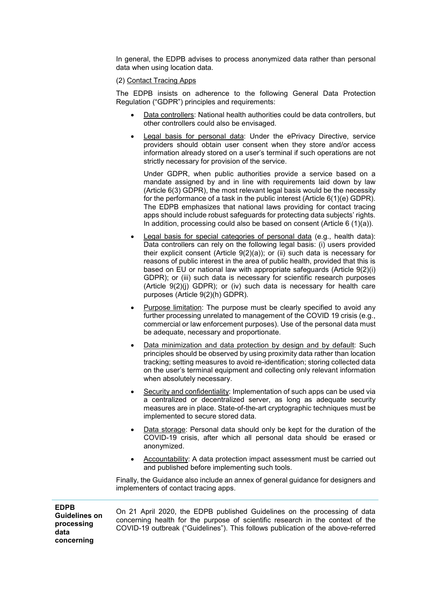In general, the EDPB advises to process anonymized data rather than personal data when using location data.

### (2) Contact Tracing Apps

The EDPB insists on adherence to the following General Data Protection Regulation ("GDPR") principles and requirements:

- Data controllers: National health authorities could be data controllers, but other controllers could also be envisaged.
- Legal basis for personal data: Under the ePrivacy Directive, service providers should obtain user consent when they store and/or access information already stored on a user's terminal if such operations are not strictly necessary for provision of the service.

Under GDPR, when public authorities provide a service based on a mandate assigned by and in line with requirements laid down by law (Article 6(3) GDPR), the most relevant legal basis would be the necessity for the performance of a task in the public interest (Article 6(1)(e) GDPR). The EDPB emphasizes that national laws providing for contact tracing apps should include robust safeguards for protecting data subjects' rights. In addition, processing could also be based on consent (Article 6 (1)(a)).

- Legal basis for special categories of personal data (e.g., health data): Data controllers can rely on the following legal basis: (i) users provided their explicit consent (Article 9(2)(a)); or (ii) such data is necessary for reasons of public interest in the area of public health, provided that this is based on EU or national law with appropriate safeguards (Article 9(2)(i) GDPR); or (iii) such data is necessary for scientific research purposes (Article 9(2)(j) GDPR); or (iv) such data is necessary for health care purposes (Article 9(2)(h) GDPR).
- Purpose limitation: The purpose must be clearly specified to avoid any further processing unrelated to management of the COVID 19 crisis (e.g., commercial or law enforcement purposes). Use of the personal data must be adequate, necessary and proportionate.
- Data minimization and data protection by design and by default: Such principles should be observed by using proximity data rather than location tracking; setting measures to avoid re-identification; storing collected data on the user's terminal equipment and collecting only relevant information when absolutely necessary.
- Security and confidentiality: Implementation of such apps can be used via a centralized or decentralized server, as long as adequate security measures are in place. State-of-the-art cryptographic techniques must be implemented to secure stored data.
- Data storage: Personal data should only be kept for the duration of the COVID-19 crisis, after which all personal data should be erased or anonymized.
- Accountability: A data protection impact assessment must be carried out and published before implementing such tools.

Finally, the Guidance also include an annex of general guidance for designers and implementers of contact tracing apps.

**EDPB Guidelines on processing data concerning** 

On 21 April 2020, the EDPB published Guidelines on the processing of data concerning health for the purpose of scientific research in the context of the COVID-19 outbreak ("Guidelines"). This follows publication of the above-referred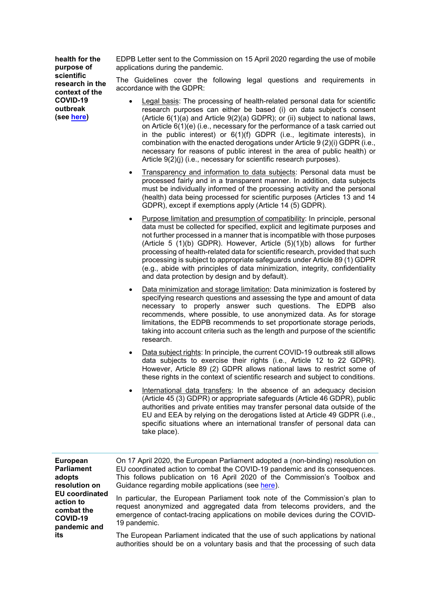**health for the purpose of scientific research in the context of the COVID-19 outbreak (see [here\)](https://edpb.europa.eu/sites/edpb/files/files/file1/edpb_guidelines_202003_healthdatascientificresearchcovid19_en.pdf)**

EDPB Letter sent to the Commission on 15 April 2020 regarding the use of mobile applications during the pandemic.

The Guidelines cover the following legal questions and requirements in accordance with the GDPR:

- Legal basis: The processing of health-related personal data for scientific research purposes can either be based (i) on data subject's consent (Article  $6(1)(a)$  and Article  $9(2)(a)$  GDPR); or (ii) subject to national laws, on Article 6(1)(e) (i.e., necessary for the performance of a task carried out in the public interest) or 6(1)(f) GDPR (i.e., legitimate interests), in combination with the enacted derogations under Article 9 (2)(i) GDPR (i.e., necessary for reasons of public interest in the area of public health) or Article 9(2)(i) (i.e., necessary for scientific research purposes).
- Transparency and information to data subjects: Personal data must be processed fairly and in a transparent manner. In addition, data subjects must be individually informed of the processing activity and the personal (health) data being processed for scientific purposes (Articles 13 and 14 GDPR), except if exemptions apply (Article 14 (5) GDPR).
- Purpose limitation and presumption of compatibility: In principle, personal data must be collected for specified, explicit and legitimate purposes and not further processed in a manner that is incompatible with those purposes (Article 5  $(1)(b)$  GDPR). However, Article  $(5)(1)(b)$  allows for further processing of health-related data for scientific research, provided that such processing is subject to appropriate safeguards under Article 89 (1) GDPR (e.g., abide with principles of data minimization, integrity, confidentiality and data protection by design and by default).
- Data minimization and storage limitation: Data minimization is fostered by specifying research questions and assessing the type and amount of data necessary to properly answer such questions. The EDPB also recommends, where possible, to use anonymized data. As for storage limitations, the EDPB recommends to set proportionate storage periods, taking into account criteria such as the length and purpose of the scientific research.
- Data subject rights: In principle, the current COVID-19 outbreak still allows data subjects to exercise their rights (i.e., Article 12 to 22 GDPR). However, Article 89 (2) GDPR allows national laws to restrict some of these rights in the context of scientific research and subject to conditions.
- International data transfers: In the absence of an adequacy decision (Article 45 (3) GDPR) or appropriate safeguards (Article 46 GDPR), public authorities and private entities may transfer personal data outside of the EU and EEA by relying on the derogations listed at Article 49 GDPR (i.e., specific situations where an international transfer of personal data can take place).

| European                                                                     | On 17 April 2020, the European Parliament adopted a (non-binding) resolution on                                                                                                                                                                          |
|------------------------------------------------------------------------------|----------------------------------------------------------------------------------------------------------------------------------------------------------------------------------------------------------------------------------------------------------|
| <b>Parliament</b>                                                            | EU coordinated action to combat the COVID-19 pandemic and its consequences.                                                                                                                                                                              |
| adopts                                                                       | This follows publication on 16 April 2020 of the Commission's Toolbox and                                                                                                                                                                                |
| resolution on                                                                | Guidance regarding mobile applications (see here).                                                                                                                                                                                                       |
| <b>EU</b> coordinated<br>action to<br>combat the<br>COVID-19<br>pandemic and | In particular, the European Parliament took note of the Commission's plan to<br>request anonymized and aggregated data from telecoms providers, and the<br>emergence of contact-tracing applications on mobile devices during the COVID-<br>19 pandemic. |
| its                                                                          | The European Parliament indicated that the use of such applications by national<br>authorities should be on a voluntary basis and that the processing of such data                                                                                       |